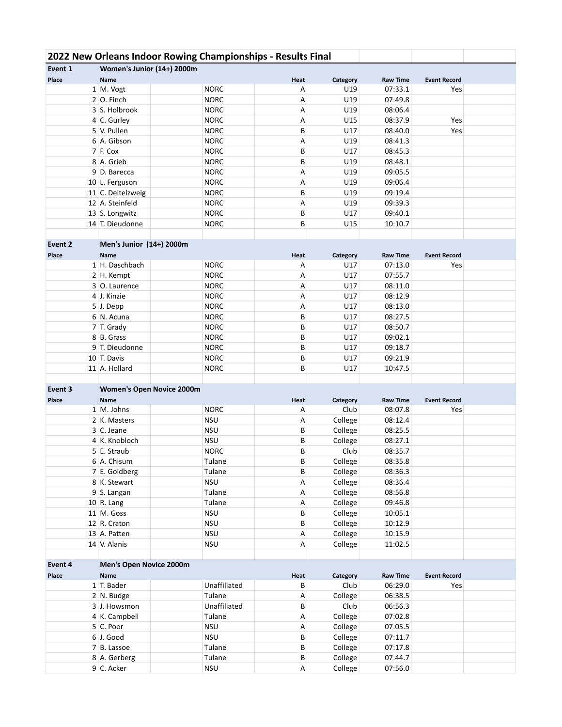|         |                                  | 2022 New Orleans Indoor Rowing Championships - Results Final |           |                  |                            |                            |  |
|---------|----------------------------------|--------------------------------------------------------------|-----------|------------------|----------------------------|----------------------------|--|
| Event 1 | Women's Junior (14+) 2000m       |                                                              |           |                  |                            |                            |  |
| Place   | Name                             |                                                              | Heat      | Category         | <b>Raw Time</b>            | <b>Event Record</b>        |  |
|         | 1 M. Vogt                        | <b>NORC</b>                                                  | Α         | U19              | 07:33.1                    | Yes                        |  |
|         | $2$ O. Finch                     | <b>NORC</b>                                                  | Α         | U19              | 07:49.8                    |                            |  |
|         | 3 S. Holbrook                    | <b>NORC</b>                                                  | Α         | U19              | 08:06.4                    |                            |  |
|         | 4 C. Gurley                      | <b>NORC</b>                                                  | Α         | U15              | 08:37.9                    | Yes                        |  |
|         | 5 V. Pullen                      | <b>NORC</b>                                                  | B         | U17              | 08:40.0                    | Yes                        |  |
|         | 6 A. Gibson                      | <b>NORC</b>                                                  | Α         | U19              | 08:41.3                    |                            |  |
|         | $7$ F. Cox                       | <b>NORC</b>                                                  | B         | U17              | 08:45.3                    |                            |  |
|         | 8 A. Grieb                       | <b>NORC</b>                                                  | B         | U19              | 08:48.1                    |                            |  |
|         | 9 D. Barecca                     | <b>NORC</b>                                                  | Α         | U19              | 09:05.5                    |                            |  |
|         | 10 L. Ferguson                   | <b>NORC</b>                                                  | Α         | U19              | 09:06.4                    |                            |  |
|         | 11 C. Deitelzweig                | <b>NORC</b>                                                  | В         | U19              | 09:19.4                    |                            |  |
|         | 12 A. Steinfeld                  | <b>NORC</b>                                                  | Α         | U19              | 09:39.3                    |                            |  |
|         | 13 S. Longwitz                   | <b>NORC</b>                                                  | В         | U17              | 09:40.1                    |                            |  |
|         | 14 T. Dieudonne                  | <b>NORC</b>                                                  | B         | U15              | 10:10.7                    |                            |  |
|         |                                  |                                                              |           |                  |                            |                            |  |
| Event 2 | Men's Junior (14+) 2000m         |                                                              |           |                  |                            |                            |  |
| Place   | <b>Name</b>                      |                                                              | Heat      | Category         | <b>Raw Time</b>            | <b>Event Record</b>        |  |
|         | 1 H. Daschbach                   | <b>NORC</b>                                                  | Α         | U17              | 07:13.0                    | Yes                        |  |
|         | 2 H. Kempt                       | <b>NORC</b>                                                  | Α         | U17              | 07:55.7                    |                            |  |
|         | 3 O. Laurence                    | <b>NORC</b>                                                  | Α         | U17              | 08:11.0                    |                            |  |
|         | 4 J. Kinzie                      | <b>NORC</b>                                                  | Α         | U17              | 08:12.9                    |                            |  |
|         | 5 J. Depp                        | <b>NORC</b>                                                  | Α         | U17              | 08:13.0                    |                            |  |
|         | 6 N. Acuna                       | <b>NORC</b>                                                  | B         | U17              | 08:27.5                    |                            |  |
|         | 7 T. Grady                       | <b>NORC</b>                                                  | B         | U17              | 08:50.7                    |                            |  |
|         | 8 B. Grass                       | <b>NORC</b>                                                  | B         | U17              | 09:02.1                    |                            |  |
|         | 9 T. Dieudonne                   | <b>NORC</b>                                                  | B         | U17              | 09:18.7                    |                            |  |
|         | 10 T. Davis                      |                                                              |           |                  |                            |                            |  |
|         |                                  | <b>NORC</b>                                                  | B         | U17              | 09:21.9                    |                            |  |
|         | 11 A. Hollard                    | <b>NORC</b>                                                  | В         | U17              | 10:47.5                    |                            |  |
| Event 3 |                                  |                                                              |           |                  |                            |                            |  |
|         | <b>Women's Open Novice 2000m</b> |                                                              |           |                  |                            |                            |  |
| Place   | Name<br>$1 \, M.$ Johns          | <b>NORC</b>                                                  | Heat<br>Α | Category<br>Club | <b>Raw Time</b><br>08:07.8 | <b>Event Record</b><br>Yes |  |
|         | 2 K. Masters                     | <b>NSU</b>                                                   | Α         | College          | 08:12.4                    |                            |  |
|         | 3 C. Jeane                       | <b>NSU</b>                                                   | В         |                  | 08:25.5                    |                            |  |
|         |                                  |                                                              |           | College          |                            |                            |  |
|         | 4 K. Knobloch<br>5 E. Straub     | <b>NSU</b><br><b>NORC</b>                                    | В<br>B    | College<br>Club  | 08:27.1<br>08:35.7         |                            |  |
|         | 6 A. Chisum                      | Tulane                                                       |           | College          |                            |                            |  |
|         |                                  |                                                              | В         |                  | 08:35.8<br>08:36.3         |                            |  |
|         | 7 E. Goldberg                    | Tulane<br><b>NSU</b>                                         | B         | College          |                            |                            |  |
|         | 8 K. Stewart                     |                                                              | Α         | College          | 08:36.4                    |                            |  |
|         | 9 S. Langan                      | Tulane                                                       | А         | College          | 08:56.8                    |                            |  |
|         | $10$ R. Lang                     | Tulane                                                       | А         | College          | 09:46.8                    |                            |  |
|         | 11 M. Goss                       | <b>NSU</b>                                                   | В         | College          | 10:05.1                    |                            |  |
|         | 12 R. Craton                     | <b>NSU</b>                                                   | В         | College          | 10:12.9                    |                            |  |
|         | 13 A. Patten                     | <b>NSU</b>                                                   | А         | College          | 10:15.9                    |                            |  |
|         | 14 V. Alanis                     | <b>NSU</b>                                                   | А         | College          | 11:02.5                    |                            |  |
|         |                                  |                                                              |           |                  |                            |                            |  |
| Event 4 | Men's Open Novice 2000m          |                                                              |           |                  |                            |                            |  |
| Place   | <b>Name</b>                      |                                                              | Heat      | Category         | <b>Raw Time</b>            | <b>Event Record</b>        |  |
|         | 1 T. Bader                       | Unaffiliated<br>Tulane                                       | В         | Club             | 06:29.0                    | Yes                        |  |
|         | 2 N. Budge                       |                                                              | Α         | College          | 06:38.5                    |                            |  |
|         | 3 J. Howsmon                     | Unaffiliated                                                 | В         | Club             | 06:56.3                    |                            |  |
|         | 4 K. Campbell                    | Tulane                                                       | Α         | College          | 07:02.8                    |                            |  |
|         | 5 C. Poor                        | <b>NSU</b>                                                   | А         | College          | 07:05.5                    |                            |  |
|         | 6 J. Good                        | <b>NSU</b>                                                   | В         | College          | 07:11.7                    |                            |  |
|         | 7 B. Lassoe                      | Tulane                                                       | B         | College          | 07:17.8                    |                            |  |
|         | 8 A. Gerberg                     | Tulane                                                       | В         | College          | 07:44.7                    |                            |  |
|         | 9 C. Acker                       | <b>NSU</b>                                                   | A         | College          | 07:56.0                    |                            |  |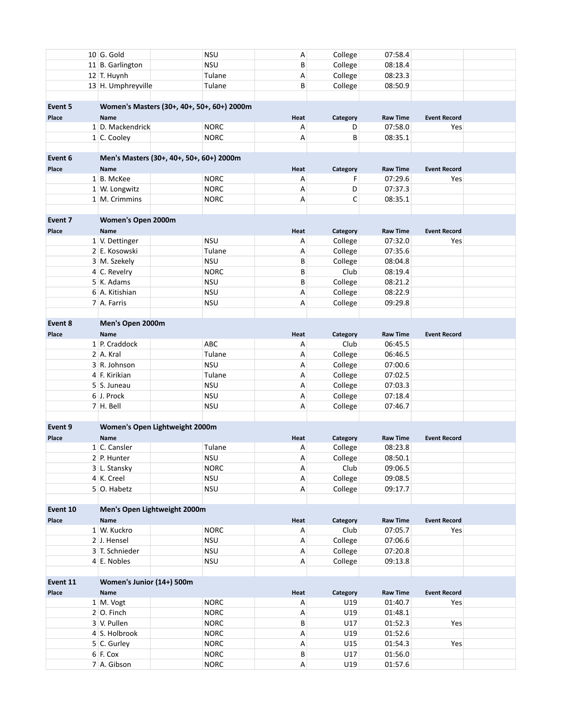|          |                                            | $10$ G. Gold                 | <b>NSU</b>                               |        | А      | College          | 07:58.4                    |                     |  |  |  |
|----------|--------------------------------------------|------------------------------|------------------------------------------|--------|--------|------------------|----------------------------|---------------------|--|--|--|
|          |                                            | 11 B. Garlington             | <b>NSU</b>                               |        | B      | College          | 08:18.4                    |                     |  |  |  |
|          |                                            | 12 T. Huynh                  |                                          | Tulane | А      | College          | 08:23.3                    |                     |  |  |  |
|          |                                            | 13 H. Umphreyville           |                                          | Tulane | B      | College          | 08:50.9                    |                     |  |  |  |
|          |                                            |                              |                                          |        |        |                  |                            |                     |  |  |  |
| Event 5  | Women's Masters (30+, 40+, 50+, 60+) 2000m |                              |                                          |        |        |                  |                            |                     |  |  |  |
| Place    |                                            | <b>Name</b>                  |                                          |        | Heat   | Category         | <b>Raw Time</b>            | <b>Event Record</b> |  |  |  |
|          |                                            | 1 D. Mackendrick             | <b>NORC</b>                              |        | Α      |                  | 07:58.0<br>D               | Yes                 |  |  |  |
|          |                                            | 1 C. Cooley                  | <b>NORC</b>                              |        | Α      |                  | В<br>08:35.1               |                     |  |  |  |
|          |                                            |                              |                                          |        |        |                  |                            |                     |  |  |  |
| Event 6  |                                            |                              | Men's Masters (30+, 40+, 50+, 60+) 2000m |        |        |                  |                            |                     |  |  |  |
| Place    |                                            | <b>Name</b>                  |                                          |        | Heat   | Category         | <b>Raw Time</b>            | <b>Event Record</b> |  |  |  |
|          |                                            | 1 B. McKee                   | <b>NORC</b>                              |        | А      |                  | 07:29.6<br>F               | Yes                 |  |  |  |
|          |                                            | 1 W. Longwitz                | <b>NORC</b>                              |        | А      |                  | D<br>07:37.3               |                     |  |  |  |
|          |                                            | 1 M. Crimmins                | <b>NORC</b>                              |        | А      |                  | С<br>08:35.1               |                     |  |  |  |
|          |                                            |                              |                                          |        |        |                  |                            |                     |  |  |  |
| Event 7  |                                            | Women's Open 2000m           |                                          |        |        |                  |                            |                     |  |  |  |
| Place    |                                            | <b>Name</b>                  |                                          |        | Heat   | Category         | <b>Raw Time</b>            | <b>Event Record</b> |  |  |  |
|          |                                            | 1 V. Dettinger               | <b>NSU</b>                               |        | Α      | College          | 07:32.0                    | Yes                 |  |  |  |
|          |                                            | 2 E. Kosowski                |                                          | Tulane | А      | College          | 07:35.6                    |                     |  |  |  |
|          |                                            | 3 M. Szekely                 | <b>NSU</b>                               |        | B      | College          | 08:04.8                    |                     |  |  |  |
|          |                                            | 4 C. Revelry                 | <b>NORC</b>                              |        | B      | Club             | 08:19.4                    |                     |  |  |  |
|          |                                            | 5 K. Adams                   | <b>NSU</b>                               |        | B      | College          | 08:21.2                    |                     |  |  |  |
|          |                                            | 6 A. Kitishian               | <b>NSU</b>                               |        | Α      | College          | 08:22.9                    |                     |  |  |  |
|          |                                            | 7 A. Farris                  | <b>NSU</b>                               |        | Α      | College          | 09:29.8                    |                     |  |  |  |
|          |                                            |                              |                                          |        |        |                  |                            |                     |  |  |  |
| Event 8  |                                            | Men's Open 2000m             |                                          |        |        |                  |                            |                     |  |  |  |
| Place    |                                            | <b>Name</b>                  |                                          |        | Heat   |                  | <b>Raw Time</b>            |                     |  |  |  |
|          |                                            | 1 P. Craddock                | ABC                                      |        | Α      | Category<br>Club | 06:45.5                    | <b>Event Record</b> |  |  |  |
|          |                                            | 2 A. Kral                    |                                          | Tulane | Α      | College          | 06:46.5                    |                     |  |  |  |
|          |                                            | 3 R. Johnson                 | <b>NSU</b>                               |        | А      |                  | 07:00.6                    |                     |  |  |  |
|          |                                            | 4 F. Kirikian                |                                          | Tulane | Α      | College          | 07:02.5                    |                     |  |  |  |
|          |                                            | 5 S. Juneau                  | <b>NSU</b>                               |        |        | College          | 07:03.3                    |                     |  |  |  |
|          |                                            |                              |                                          |        | А      | College          |                            |                     |  |  |  |
|          |                                            | 6 J. Prock<br>7 H. Bell      | <b>NSU</b>                               |        | А      | College          | 07:18.4                    |                     |  |  |  |
|          |                                            |                              | <b>NSU</b>                               |        | Α      | College          | 07:46.7                    |                     |  |  |  |
|          |                                            |                              |                                          |        |        |                  |                            |                     |  |  |  |
| Event 9  |                                            |                              | Women's Open Lightweight 2000m           |        |        |                  |                            |                     |  |  |  |
| Place    |                                            | Name                         |                                          |        | Heat   | Category         | <b>Raw Time</b>            | <b>Event Record</b> |  |  |  |
|          |                                            | 1 C. Cansler                 |                                          | Tulane | А      | College          | 08:23.8                    |                     |  |  |  |
|          |                                            | 2 P. Hunter                  | <b>NSU</b>                               |        | A      | College<br>Club  | 08:50.1                    |                     |  |  |  |
|          |                                            | 3 L. Stansky                 | <b>NORC</b>                              |        | А      | College          | 09:06.5                    |                     |  |  |  |
|          |                                            | 4 K. Creel<br>5 O. Habetz    | <b>NSU</b><br><b>NSU</b>                 |        | Α<br>А |                  | 09:08.5<br>09:17.7         |                     |  |  |  |
|          |                                            |                              |                                          |        |        | College          |                            |                     |  |  |  |
| Event 10 |                                            | Men's Open Lightweight 2000m |                                          |        |        |                  |                            |                     |  |  |  |
|          |                                            |                              |                                          |        |        |                  |                            |                     |  |  |  |
| Place    |                                            | Name<br>1 W. Kuckro          | <b>NORC</b>                              |        | Heat   | Category<br>Club | <b>Raw Time</b><br>07:05.7 | <b>Event Record</b> |  |  |  |
|          |                                            | 2 J. Hensel                  | <b>NSU</b>                               |        | А      | College          | 07:06.6                    | Yes                 |  |  |  |
|          |                                            | 3 T. Schnieder               | <b>NSU</b>                               |        | А      | College          | 07:20.8                    |                     |  |  |  |
|          |                                            |                              |                                          |        | Α      |                  |                            |                     |  |  |  |
|          |                                            | 4 E. Nobles                  | <b>NSU</b>                               |        | А      | College          | 09:13.8                    |                     |  |  |  |
|          |                                            |                              |                                          |        |        |                  |                            |                     |  |  |  |
| Event 11 |                                            | Women's Junior (14+) 500m    |                                          |        |        |                  |                            |                     |  |  |  |
| Place    |                                            | Name                         |                                          |        | Heat   | Category         | <b>Raw Time</b>            | <b>Event Record</b> |  |  |  |
|          |                                            | 1 M. Vogt                    | <b>NORC</b>                              |        | А      | U19              | 01:40.7                    | Yes                 |  |  |  |
|          |                                            | $2$ O. Finch                 | <b>NORC</b>                              |        | А      | U19              | 01:48.1                    |                     |  |  |  |
|          |                                            | 3 V. Pullen                  | <b>NORC</b>                              |        | В      | U17              | 01:52.3                    | Yes                 |  |  |  |
|          |                                            | 4 S. Holbrook                | <b>NORC</b>                              |        | А      | U19              | 01:52.6                    |                     |  |  |  |
|          |                                            | 5 C. Gurley                  | <b>NORC</b>                              |        | А      | U15              | 01:54.3                    | Yes                 |  |  |  |
|          |                                            | 6 F. Cox                     | <b>NORC</b>                              |        | B      | U17              | 01:56.0                    |                     |  |  |  |
|          |                                            | 7 A. Gibson                  | <b>NORC</b>                              |        | А      | U19              | 01:57.6                    |                     |  |  |  |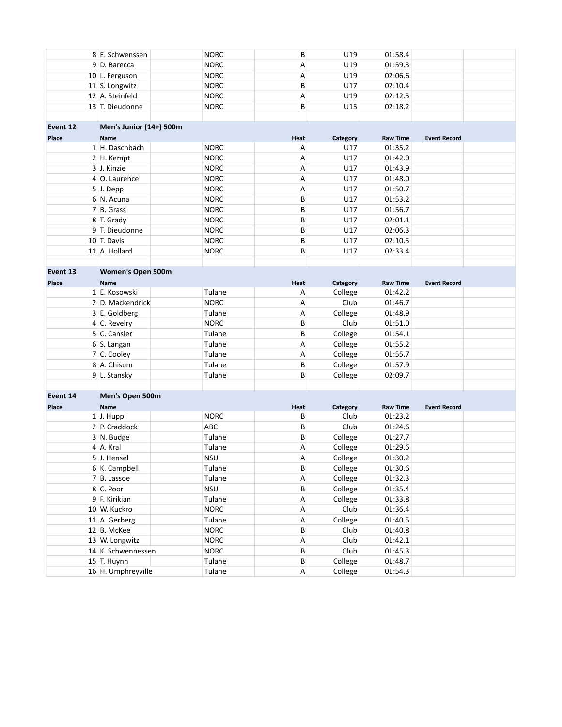|          | 8 E. Schwenssen         | <b>NORC</b> | B    | U19      | 01:58.4         |                     |  |
|----------|-------------------------|-------------|------|----------|-----------------|---------------------|--|
|          | 9 D. Barecca            | <b>NORC</b> | Α    | U19      | 01:59.3         |                     |  |
|          | 10 L. Ferguson          | <b>NORC</b> | Α    | U19      | 02:06.6         |                     |  |
|          | 11 S. Longwitz          | <b>NORC</b> | B    | U17      | 02:10.4         |                     |  |
|          | 12 A. Steinfeld         | <b>NORC</b> | Α    | U19      | 02:12.5         |                     |  |
|          | 13 T. Dieudonne         | <b>NORC</b> | B    | U15      | 02:18.2         |                     |  |
|          |                         |             |      |          |                 |                     |  |
| Event 12 | Men's Junior (14+) 500m |             |      |          |                 |                     |  |
| Place    | <b>Name</b>             |             | Heat | Category | <b>Raw Time</b> | <b>Event Record</b> |  |
|          | 1 H. Daschbach          | <b>NORC</b> | Α    | U17      | 01:35.2         |                     |  |
|          | 2 H. Kempt              | <b>NORC</b> | Α    | U17      | 01:42.0         |                     |  |
|          | 3 J. Kinzie             | <b>NORC</b> | Α    | U17      | 01:43.9         |                     |  |
|          | 4 O. Laurence           | <b>NORC</b> | Α    | U17      | 01:48.0         |                     |  |
|          | $5$ J. Depp             | <b>NORC</b> | Α    | U17      | 01:50.7         |                     |  |
|          | 6 N. Acuna              | <b>NORC</b> | B    | U17      | 01:53.2         |                     |  |
|          | 7 B. Grass              | <b>NORC</b> | B    | U17      | 01:56.7         |                     |  |
|          | 8 T. Grady              | <b>NORC</b> | B    | U17      | 02:01.1         |                     |  |
|          | 9 T. Dieudonne          | <b>NORC</b> | B    | U17      | 02:06.3         |                     |  |
|          | 10 T. Davis             | <b>NORC</b> | B    | U17      | 02:10.5         |                     |  |
|          | 11 A. Hollard           | <b>NORC</b> | B    | U17      | 02:33.4         |                     |  |
|          |                         |             |      |          |                 |                     |  |
| Event 13 | Women's Open 500m       |             |      |          |                 |                     |  |
| Place    | <b>Name</b>             |             | Heat | Category | <b>Raw Time</b> | <b>Event Record</b> |  |
|          | 1 E. Kosowski           | Tulane      | Α    | College  | 01:42.2         |                     |  |
|          | 2 D. Mackendrick        | <b>NORC</b> | Α    | Club     | 01:46.7         |                     |  |
|          | 3 E. Goldberg           | Tulane      | Α    | College  | 01:48.9         |                     |  |
|          | 4 C. Revelry            | <b>NORC</b> | B    | Club     | 01:51.0         |                     |  |
|          | 5 C. Cansler            | Tulane      | B    | College  | 01:54.1         |                     |  |
|          | 6 S. Langan             | Tulane      | Α    | College  | 01:55.2         |                     |  |
|          | 7 C. Cooley             | Tulane      | Α    | College  | 01:55.7         |                     |  |
|          | 8 A. Chisum             | Tulane      | B    | College  | 01:57.9         |                     |  |
|          | 9 L. Stansky            | Tulane      | B    | College  | 02:09.7         |                     |  |
|          |                         |             |      |          |                 |                     |  |
| Event 14 | Men's Open 500m         |             |      |          |                 |                     |  |
| Place    | Name                    |             | Heat | Category | <b>Raw Time</b> | <b>Event Record</b> |  |
|          | 1 J. Huppi              | <b>NORC</b> | В    | Club     | 01:23.2         |                     |  |
|          | 2 P. Craddock           | <b>ABC</b>  | B    | Club     | 01:24.6         |                     |  |
|          | 3 N. Budge              | Tulane      | B    | College  | 01:27.7         |                     |  |
|          | 4 A. Kral               | Tulane      | Α    | College  | 01:29.6         |                     |  |
|          | 5 J. Hensel             | <b>NSU</b>  | А    | College  | 01:30.2         |                     |  |
|          | 6 K. Campbell           | Tulane      | B    | College  | 01:30.6         |                     |  |
|          | 7 B. Lassoe             | Tulane      | Α    | College  | 01:32.3         |                     |  |
|          | 8 C. Poor               | <b>NSU</b>  | В    | College  | 01:35.4         |                     |  |
|          | 9 F. Kirikian           | Tulane      | А    | College  | 01:33.8         |                     |  |
|          | 10 W. Kuckro            | <b>NORC</b> | А    | Club     | 01:36.4         |                     |  |
|          | 11 A. Gerberg           | Tulane      | А    | College  | 01:40.5         |                     |  |
|          | 12 B. McKee             | <b>NORC</b> | B    | Club     | 01:40.8         |                     |  |
|          | 13 W. Longwitz          | <b>NORC</b> | А    | Club     | 01:42.1         |                     |  |
|          | 14 K. Schwennessen      | <b>NORC</b> | В    | Club     | 01:45.3         |                     |  |
|          | 15 T. Huynh             | Tulane      | В    | College  | 01:48.7         |                     |  |
|          | 16 H. Umphreyville      | Tulane      | A    | College  | 01:54.3         |                     |  |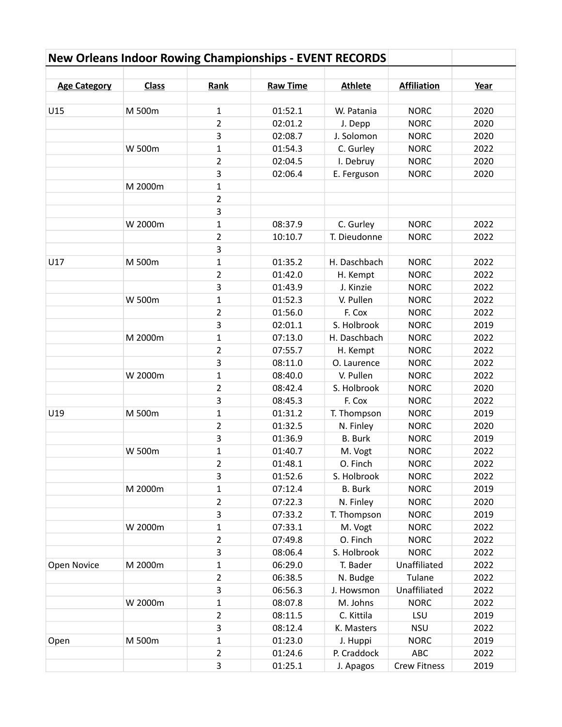| <b>Age Category</b> | <b>Class</b> | Rank           | <b>Raw Time</b> | <b>Athlete</b> | <b>Affiliation</b>  | Year |
|---------------------|--------------|----------------|-----------------|----------------|---------------------|------|
|                     |              |                |                 |                |                     |      |
| U15                 | M 500m       | 1              | 01:52.1         | W. Patania     | <b>NORC</b>         | 2020 |
|                     |              | $\overline{2}$ | 02:01.2         | J. Depp        | <b>NORC</b>         | 2020 |
|                     |              | 3              | 02:08.7         | J. Solomon     | <b>NORC</b>         | 2020 |
|                     | W 500m       | $\mathbf{1}$   | 01:54.3         | C. Gurley      | <b>NORC</b>         | 2022 |
|                     |              | $\overline{2}$ | 02:04.5         | I. Debruy      | <b>NORC</b>         | 2020 |
|                     |              | 3              | 02:06.4         | E. Ferguson    | <b>NORC</b>         | 2020 |
|                     | M 2000m      | $\mathbf{1}$   |                 |                |                     |      |
|                     |              | $\overline{2}$ |                 |                |                     |      |
|                     |              | 3              |                 |                |                     |      |
|                     | W 2000m      | $\mathbf{1}$   | 08:37.9         | C. Gurley      | <b>NORC</b>         | 2022 |
|                     |              | $\overline{2}$ | 10:10.7         | T. Dieudonne   | <b>NORC</b>         | 2022 |
|                     |              | 3              |                 |                |                     |      |
| U17                 | M 500m       | $\mathbf{1}$   | 01:35.2         | H. Daschbach   | <b>NORC</b>         | 2022 |
|                     |              | $\overline{2}$ | 01:42.0         | H. Kempt       | <b>NORC</b>         | 2022 |
|                     |              | 3              | 01:43.9         | J. Kinzie      | <b>NORC</b>         | 2022 |
|                     | W 500m       | $\mathbf{1}$   | 01:52.3         | V. Pullen      | <b>NORC</b>         | 2022 |
|                     |              | $\overline{2}$ | 01:56.0         | F. Cox         | <b>NORC</b>         | 2022 |
|                     |              | 3              | 02:01.1         | S. Holbrook    | <b>NORC</b>         | 2019 |
|                     | M 2000m      | $\mathbf 1$    | 07:13.0         | H. Daschbach   | <b>NORC</b>         | 2022 |
|                     |              | $\overline{2}$ | 07:55.7         | H. Kempt       | <b>NORC</b>         | 2022 |
|                     |              | 3              | 08:11.0         | O. Laurence    | <b>NORC</b>         | 2022 |
|                     | W 2000m      | $\mathbf 1$    | 08:40.0         | V. Pullen      | <b>NORC</b>         | 2022 |
|                     |              | $\overline{2}$ | 08:42.4         | S. Holbrook    | <b>NORC</b>         | 2020 |
|                     |              | 3              | 08:45.3         | F. Cox         | <b>NORC</b>         | 2022 |
| U19                 | M 500m       | $\mathbf{1}$   | 01:31.2         | T. Thompson    | <b>NORC</b>         | 2019 |
|                     |              | $\overline{2}$ | 01:32.5         | N. Finley      | <b>NORC</b>         | 2020 |
|                     |              | 3              | 01:36.9         | <b>B.</b> Burk | <b>NORC</b>         | 2019 |
|                     | W 500m       | $\mathbf{1}$   | 01:40.7         | M. Vogt        | <b>NORC</b>         | 2022 |
|                     |              | $\overline{2}$ | 01:48.1         | O. Finch       | <b>NORC</b>         | 2022 |
|                     |              | 3              | 01:52.6         | S. Holbrook    | <b>NORC</b>         | 2022 |
|                     | M 2000m      | 1              | 07:12.4         | <b>B.</b> Burk | <b>NORC</b>         | 2019 |
|                     |              | $\overline{2}$ | 07:22.3         | N. Finley      | <b>NORC</b>         | 2020 |
|                     |              | 3              | 07:33.2         | T. Thompson    | <b>NORC</b>         | 2019 |
|                     | W 2000m      | 1              | 07:33.1         | M. Vogt        | <b>NORC</b>         | 2022 |
|                     |              | $\overline{2}$ | 07:49.8         | O. Finch       | <b>NORC</b>         | 2022 |
|                     |              | 3              | 08:06.4         | S. Holbrook    | <b>NORC</b>         | 2022 |
| Open Novice         | M 2000m      | 1              | 06:29.0         | T. Bader       | Unaffiliated        | 2022 |
|                     |              | $\overline{2}$ | 06:38.5         | N. Budge       | Tulane              | 2022 |
|                     |              | 3              | 06:56.3         | J. Howsmon     | Unaffiliated        | 2022 |
|                     | W 2000m      | 1              | 08:07.8         | M. Johns       | <b>NORC</b>         | 2022 |
|                     |              | $\overline{2}$ | 08:11.5         | C. Kittila     | LSU                 | 2019 |
|                     |              | 3              | 08:12.4         | K. Masters     | <b>NSU</b>          | 2022 |
| Open                | M 500m       | 1              | 01:23.0         | J. Huppi       | <b>NORC</b>         | 2019 |
|                     |              | $\overline{2}$ | 01:24.6         | P. Craddock    | ABC                 | 2022 |
|                     |              | 3              | 01:25.1         | J. Apagos      | <b>Crew Fitness</b> | 2019 |